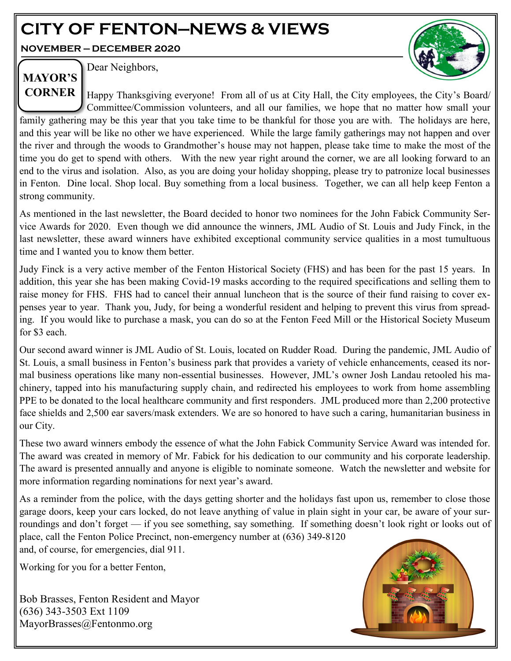# **CITY OF FENTON—NEWS & VIEWS**

**NOVEMBER — DECEMBER 2020**



**MAYOR'S** 

Dear Neighbors,

**CORNER** Happy Thanksgiving everyone! From all of us at City Hall, the City employees, the City's Board/ Committee/Commission volunteers, and all our families, we hope that no matter how small your family gathering may be this year that you take time to be thankful for those you are with. The holidays are here, and this year will be like no other we have experienced. While the large family gatherings may not happen and over the river and through the woods to Grandmother's house may not happen, please take time to make the most of the time you do get to spend with others. With the new year right around the corner, we are all looking forward to an end to the virus and isolation. Also, as you are doing your holiday shopping, please try to patronize local businesses in Fenton. Dine local. Shop local. Buy something from a local business. Together, we can all help keep Fenton a strong community.

As mentioned in the last newsletter, the Board decided to honor two nominees for the John Fabick Community Service Awards for 2020. Even though we did announce the winners, JML Audio of St. Louis and Judy Finck, in the last newsletter, these award winners have exhibited exceptional community service qualities in a most tumultuous time and I wanted you to know them better.

Judy Finck is a very active member of the Fenton Historical Society (FHS) and has been for the past 15 years. In addition, this year she has been making Covid-19 masks according to the required specifications and selling them to raise money for FHS. FHS had to cancel their annual luncheon that is the source of their fund raising to cover expenses year to year. Thank you, Judy, for being a wonderful resident and helping to prevent this virus from spreading. If you would like to purchase a mask, you can do so at the Fenton Feed Mill or the Historical Society Museum for \$3 each.

Our second award winner is JML Audio of St. Louis, located on Rudder Road. During the pandemic, JML Audio of St. Louis, a small business in Fenton's business park that provides a variety of vehicle enhancements, ceased its normal business operations like many non-essential businesses. However, JML's owner Josh Landau retooled his machinery, tapped into his manufacturing supply chain, and redirected his employees to work from home assembling PPE to be donated to the local healthcare community and first responders. JML produced more than 2,200 protective face shields and 2,500 ear savers/mask extenders. We are so honored to have such a caring, humanitarian business in our City.

These two award winners embody the essence of what the John Fabick Community Service Award was intended for. The award was created in memory of Mr. Fabick for his dedication to our community and his corporate leadership. The award is presented annually and anyone is eligible to nominate someone. Watch the newsletter and website for more information regarding nominations for next year's award.

As a reminder from the police, with the days getting shorter and the holidays fast upon us, remember to close those garage doors, keep your cars locked, do not leave anything of value in plain sight in your car, be aware of your surroundings and don't forget — if you see something, say something. If something doesn't look right or looks out of place, call the Fenton Police Precinct, non-emergency number at (636) 349-8120 and, of course, for emergencies, dial 911.

Working for you for a better Fenton,

Bob Brasses, Fenton Resident and Mayor (636) 343-3503 Ext 1109 MayorBrasses@Fentonmo.org

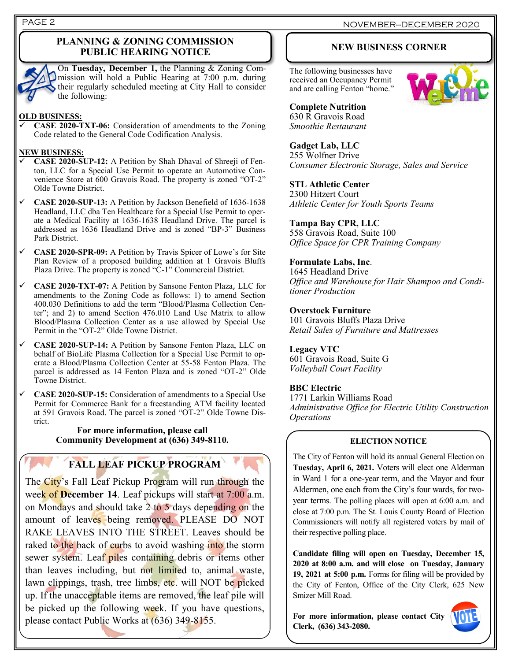## **PLANNING & ZONING COMMISSION PUBLIC HEARING NOTICE**

On **Tuesday, December 1,** the Planning & Zoning Commission will hold a Public Hearing at 7:00 p.m. during their regularly scheduled meeting at City Hall to consider the following:

### **OLD BUSINESS:**

✓ **CASE 2020-TXT-06:** Consideration of amendments to the Zoning Code related to the General Code Codification Analysis.

## **NEW BUSINESS:**

- ✓ **CASE 2020-SUP-12:** A Petition by Shah Dhaval of Shreeji of Fenton, LLC for a Special Use Permit to operate an Automotive Convenience Store at 600 Gravois Road. The property is zoned "OT-2" Olde Towne District.
- ✓ **CASE 2020-SUP-13:** A Petition by Jackson Benefield of 1636-1638 Headland, LLC dba Ten Healthcare for a Special Use Permit to operate a Medical Facility at 1636-1638 Headland Drive. The parcel is addressed as 1636 Headland Drive and is zoned "BP-3" Business Park District.
- ✓ **CASE 2020-SPR-09:** A Petition by Travis Spicer of Lowe's for Site Plan Review of a proposed building addition at 1 Gravois Bluffs Plaza Drive. The property is zoned "C-1" Commercial District.
- ✓ **CASE 2020-TXT-07:** A Petition by Sansone Fenton Plaza, LLC for amendments to the Zoning Code as follows: 1) to amend Section 400.030 Definitions to add the term "Blood/Plasma Collection Center"; and 2) to amend Section 476.010 Land Use Matrix to allow Blood/Plasma Collection Center as a use allowed by Special Use Permit in the "OT-2" Olde Towne District.
- ✓ **CASE 2020-SUP-14:** A Petition by Sansone Fenton Plaza, LLC on behalf of BioLife Plasma Collection for a Special Use Permit to operate a Blood/Plasma Collection Center at 55-58 Fenton Plaza. The parcel is addressed as 14 Fenton Plaza and is zoned "OT-2" Olde Towne District.
- ✓ **CASE 2020-SUP-15:** Consideration of amendments to a Special Use Permit for Commerce Bank for a freestanding ATM facility located at 591 Gravois Road. The parcel is zoned "OT-2" Olde Towne District.

## **For more information, please call Community Development at (636) 349-8110.**

# **FALL LEAF PICKUP PROGRAM**

The City's Fall Leaf Pickup Program will run through the week of **December 14**. Leaf pickups will start at 7:00 a.m. on Mondays and should take  $2$  to 5 days depending on the amount of leaves being removed. PLEASE DO NOT RAKE LEAVES INTO THE STREET. Leaves should be raked to the back of curbs to avoid washing into the storm sewer system. Leaf piles containing debris or items other than leaves including, but not limited to, animal waste, lawn clippings, trash, tree limbs, etc. will NOT be picked up. If the unacceptable items are removed, the leaf pile will be picked up the following week. If you have questions, please contact Public Works at (636) 349-8155.

## **NEW BUSINESS CORNER**

The following businesses have received an Occupancy Permit and are calling Fenton "home."



**Complete Nutrition** 630 R Gravois Road *Smoothie Restaurant*

## **Gadget Lab, LLC**

255 Wolfner Drive *Consumer Electronic Storage, Sales and Service*

## **STL Athletic Center**

2300 Hitzert Court *Athletic Center for Youth Sports Teams* 

## **Tampa Bay CPR, LLC**

558 Gravois Road, Suite 100 *Office Space for CPR Training Company*

## **Formulate Labs, Inc**.

1645 Headland Drive *Office and Warehouse for Hair Shampoo and Conditioner Production* 

## **Overstock Furniture**

101 Gravois Bluffs Plaza Drive *Retail Sales of Furniture and Mattresses*

## **Legacy VTC**

601 Gravois Road, Suite G *Volleyball Court Facility*

## **BBC Electric**

1771 Larkin Williams Road *Administrative Office for Electric Utility Construction Operations*

## **ELECTION NOTICE**

The City of Fenton will hold its annual General Election on **Tuesday, April 6, 2021.** Voters will elect one Alderman in Ward 1 for a one-year term, and the Mayor and four Aldermen, one each from the City's four wards, for twoyear terms. The polling places will open at 6:00 a.m. and close at 7:00 p.m. The St. Louis County Board of Election Commissioners will notify all registered voters by mail of their respective polling place.

**Candidate filing will open on Tuesday, December 15, 2020 at 8:00 a.m. and will close on Tuesday, January 19, 2021 at 5:00 p.m.** Forms for filing will be provided by the City of Fenton, Office of the City Clerk, 625 New Smizer Mill Road.

**For more information, please contact City Clerk, (636) 343-2080.**

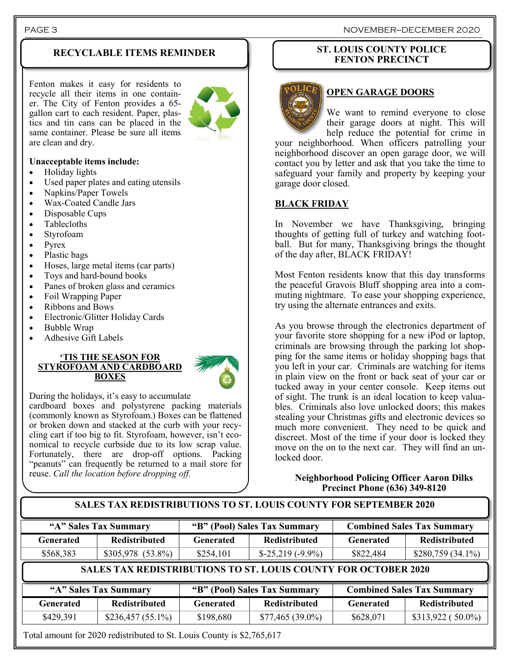## **RECYCLABLE ITEMS REMINDER**

Fenton makes it easy for residents to recycle all their items in one container. The City of Fenton provides a 65 gallon cart to each resident. Paper, plastics and tin cans can be placed in the same container. Please be sure all items are clean and dry.



## **Unacceptable items include:**

- Holiday lights
- Used paper plates and eating utensils
- Napkins/Paper Towels
- Wax-Coated Candle Jars
- Disposable Cups
- Tablecloths
- Styrofoam
- Pyrex
- Plastic bags
- Hoses, large metal items (car parts)
- Toys and hard-bound books
- Panes of broken glass and ceramics
- Foil Wrapping Paper
- Ribbons and Bows
- Electronic/Glitter Holiday Cards
- Bubble Wrap
- Adhesive Gift Labels

#### **'TIS THE SEASON FOR STYROFOAM AND CARDBOARD BOXES**



During the holidays, it's easy to accumulate

cardboard boxes and polystyrene packing materials (commonly known as Styrofoam.) Boxes can be flattened or broken down and stacked at the curb with your recycling cart if too big to fit. Styrofoam, however, isn't economical to recycle curbside due to its low scrap value. Fortunately, there are drop-off options. Packing "peanuts" can frequently be returned to a mail store for reuse. *Call the location before dropping off.* 

## **ST. LOUIS COUNTY POLICE FENTON PRECINCT**



## **OPEN GARAGE DOORS**

We want to remind everyone to close their garage doors at night. This will help reduce the potential for crime in

your neighborhood. When officers patrolling your neighborhood discover an open garage door, we will contact you by letter and ask that you take the time to safeguard your family and property by keeping your garage door closed.

## **BLACK FRIDAY**

In November we have Thanksgiving, bringing thoughts of getting full of turkey and watching football. But for many, Thanksgiving brings the thought of the day after, BLACK FRIDAY!

Most Fenton residents know that this day transforms the peaceful Gravois Bluff shopping area into a commuting nightmare. To ease your shopping experience, try using the alternate entrances and exits.

As you browse through the electronics department of your favorite store shopping for a new iPod or laptop, criminals are browsing through the parking lot shopping for the same items or holiday shopping bags that you left in your car. Criminals are watching for items in plain view on the front or back seat of your car or tucked away in your center console. Keep items out of sight. The trunk is an ideal location to keep valuables. Criminals also love unlocked doors; this makes stealing your Christmas gifts and electronic devices so much more convenient. They need to be quick and discreet. Most of the time if your door is locked they move on the on to the next car. They will find an unlocked door.

## **Neighborhood Policing Officer Aaron Dilks Precinct Phone (636) 349-8120**

| "A" Sales Tax Summary |                                                                       | "B" (Pool) Sales Tax Summary |                                                      | <b>Combined Sales Tax Summary</b> |                                                           |
|-----------------------|-----------------------------------------------------------------------|------------------------------|------------------------------------------------------|-----------------------------------|-----------------------------------------------------------|
| Generated             | <b>Redistributed</b>                                                  | <b>Generated</b>             | <b>Redistributed</b>                                 | <b>Generated</b>                  | <b>Redistributed</b>                                      |
| \$568,383             | \$305,978 (53.8%)                                                     | \$254,101                    | $$-25,219$ ( $-9.9\%$ )                              | \$822,484                         | $$280,759(34.1\%)$                                        |
|                       |                                                                       |                              |                                                      |                                   |                                                           |
|                       | <b>SALES TAX REDISTRIBUTIONS TO ST. LOUIS COUNTY FOR OCTOBER 2020</b> |                              |                                                      |                                   |                                                           |
| <b>Generated</b>      | "A" Sales Tax Summary<br><b>Redistributed</b>                         | <b>Generated</b>             | "B" (Pool) Sales Tax Summary<br><b>Redistributed</b> | <b>Generated</b>                  | <b>Combined Sales Tax Summary</b><br><b>Redistributed</b> |

#### PAGE 3 NOVEMBER—DECEMBER 2020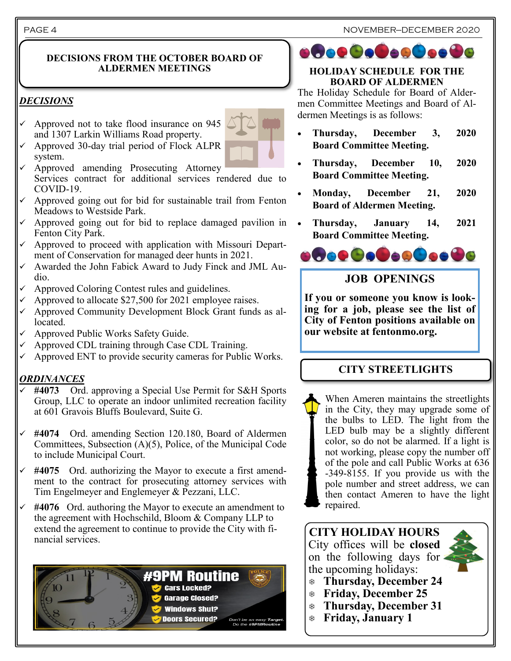## **DECISIONS FROM THE OCTOBER BOARD OF ALDERMEN MEETINGS**

## *DECISIONS*

- Approved not to take flood insurance on 945 and 1307 Larkin Williams Road property.
- ✓ Approved 30-day trial period of Flock ALPR system.
- ✓ Approved amending Prosecuting Attorney Services contract for additional services rendered due to COVID-19.
- Approved going out for bid for sustainable trail from Fenton Meadows to Westside Park.
- Approved going out for bid to replace damaged pavilion in Fenton City Park.
- Approved to proceed with application with Missouri Department of Conservation for managed deer hunts in 2021.
- ✓ Awarded the John Fabick Award to Judy Finck and JML Audio.
- Approved Coloring Contest rules and guidelines.
- Approved to allocate \$27,500 for 2021 employee raises.
- Approved Community Development Block Grant funds as allocated.
- Approved Public Works Safety Guide.
- Approved CDL training through Case CDL Training.
- Approved ENT to provide security cameras for Public Works.

## *ORDINANCES*

- #4073 Ord. approving a Special Use Permit for S&H Sports Group, LLC to operate an indoor unlimited recreation facility at 601 Gravois Bluffs Boulevard, Suite G.
- ✓ **#4074** Ord. amending Section 120.180, Board of Aldermen Committees, Subsection (A)(5), Police, of the Municipal Code to include Municipal Court.
- $\checkmark$  #4075 Ord. authorizing the Mayor to execute a first amendment to the contract for prosecuting attorney services with Tim Engelmeyer and Englemeyer & Pezzani, LLC.
- #4076 Ord. authoring the Mayor to execute an amendment to the agreement with Hochschild, Bloom & Company LLP to extend the agreement to continue to provide the City with financial services.



# **ofoe@e@e@oe@**

## **HOLIDAY SCHEDULE FOR THE BOARD OF ALDERMEN**

The Holiday Schedule for Board of Aldermen Committee Meetings and Board of Aldermen Meetings is as follows:

- **Thursday, December 3, 2020 Board Committee Meeting.**
- **Thursday, December 10, 2020 Board Committee Meeting.**
- **Monday, December 21, 2020 Board of Aldermen Meeting.**
- **Thursday, January 14, 2021 Board Committee Meeting.**



# **JOB OPENINGS**

**If you or someone you know is looking for a job, please see the list of City of Fenton positions available on our website at fentonmo.org.**

# **CITY STREETLIGHTS**

When Ameren maintains the streetlights in the City, they may upgrade some of the bulbs to LED. The light from the LED bulb may be a slightly different color, so do not be alarmed. If a light is not working, please copy the number off of the pole and call Public Works at 636 -349-8155. If you provide us with the pole number and street address, we can then contact Ameren to have the light repaired.

**CITY HOLIDAY HOURS** City offices will be **closed**  on the following days for the upcoming holidays:

- **Thursday, December 24**
- **Friday, December 25**
- **Thursday, December 31**
- **Friday, January 1**



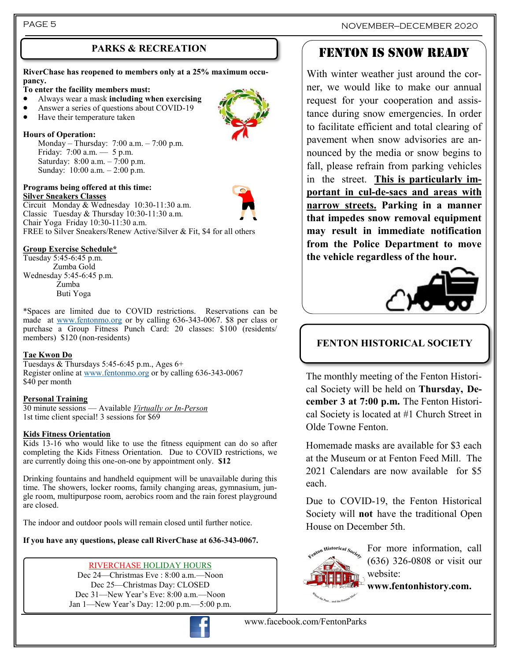**RiverChase has reopened to members only at a 25% maximum occupancy.**

### **To enter the facility members must:**

- Always wear a mask **including when exercising**
- Answer a series of questions about COVID-19
- Have their temperature taken

### **Hours of Operation:**

Monday – Thursday: 7:00 a.m. – 7:00 p.m. Friday: 7:00 a.m. — 5 p.m. Saturday: 8:00 a.m. – 7:00 p.m. Sunday: 10:00 a.m. – 2:00 p.m.

Classic Tuesday & Thursday 10:30-11:30 a.m.

#### **Programs being offered at this time: Silver Sneakers Classes**  Circuit Monday & Wednesday 10:30-11:30 a.m.

Chair Yoga Friday 10:30-11:30 a.m. FREE to Silver Sneakers/Renew Active/Silver & Fit, \$4 for all others

### **Group Exercise Schedule\***

Tuesday 5:45-6:45 p.m. Zumba Gold Wednesday 5:45-6:45 p.m. Zumba Buti Yoga

\*Spaces are limited due to COVID restrictions. Reservations can be made at [www.fentonmo.org](http://www.fentonmo.org) or by calling 636-343-0067. \$8 per class or purchase a Group Fitness Punch Card: 20 classes: \$100 (residents/ members) \$120 (non-residents)

## **Tae Kwon Do**

Tuesdays & Thursdays 5:45-6:45 p.m., Ages 6+ Register online at [www.fentonmo.org](http://www.fentonmo.org) or by calling 636-343-0067 \$40 per month

## **Personal Training**

30 minute sessions — Available *Virtually or In-Person* 1st time client special! 3 sessions for \$69

## **Kids Fitness Orientation**

Kids 13-16 who would like to use the fitness equipment can do so after completing the Kids Fitness Orientation. Due to COVID restrictions, we are currently doing this one-on-one by appointment only. **\$12**

Drinking fountains and handheld equipment will be unavailable during this time. The showers, locker rooms, family changing areas, gymnasium, jungle room, multipurpose room, aerobics room and the rain forest playground are closed.

The indoor and outdoor pools will remain closed until further notice.

**If you have any questions, please call RiverChase at 636-343-0067.**

## RIVERCHASE HOLIDAY HOURS

Dec 24—Christmas Eve : 8:00 a.m.—Noon Dec 25—Christmas Day: CLOSED Dec 31—New Year's Eve: 8:00 a.m.—Noon Jan 1—New Year's Day: 12:00 p.m.—5:00 p.m.



PAGE 5 NOVEMBER—DECEMBER 2020

# PARKS & RECREATION **FENTON IS SNOW READY**

With winter weather just around the corner, we would like to make our annual request for your cooperation and assistance during snow emergencies. In order to facilitate efficient and total clearing of pavement when snow advisories are announced by the media or snow begins to fall, please refrain from parking vehicles in the street. **This is particularly important in cul-de-sacs and areas with narrow streets. Parking in a manner that impedes snow removal equipment may result in immediate notification from the Police Department to move the vehicle regardless of the hour.**



## **FENTON HISTORICAL SOCIETY**

The monthly meeting of the Fenton Historical Society will be held on **Thursday, December 3 at 7:00 p.m.** The Fenton Historical Society is located at #1 Church Street in Olde Towne Fenton.

Homemade masks are available for \$3 each at the Museum or at Fenton Feed Mill. The 2021 Calendars are now available for \$5 each.

Due to COVID-19, the Fenton Historical Society will **not** have the traditional Open House on December 5th.



For more information, call (636) 326-0808 or visit our website:

**www.fentonhistory.com.**

www.facebook.com/FentonParks